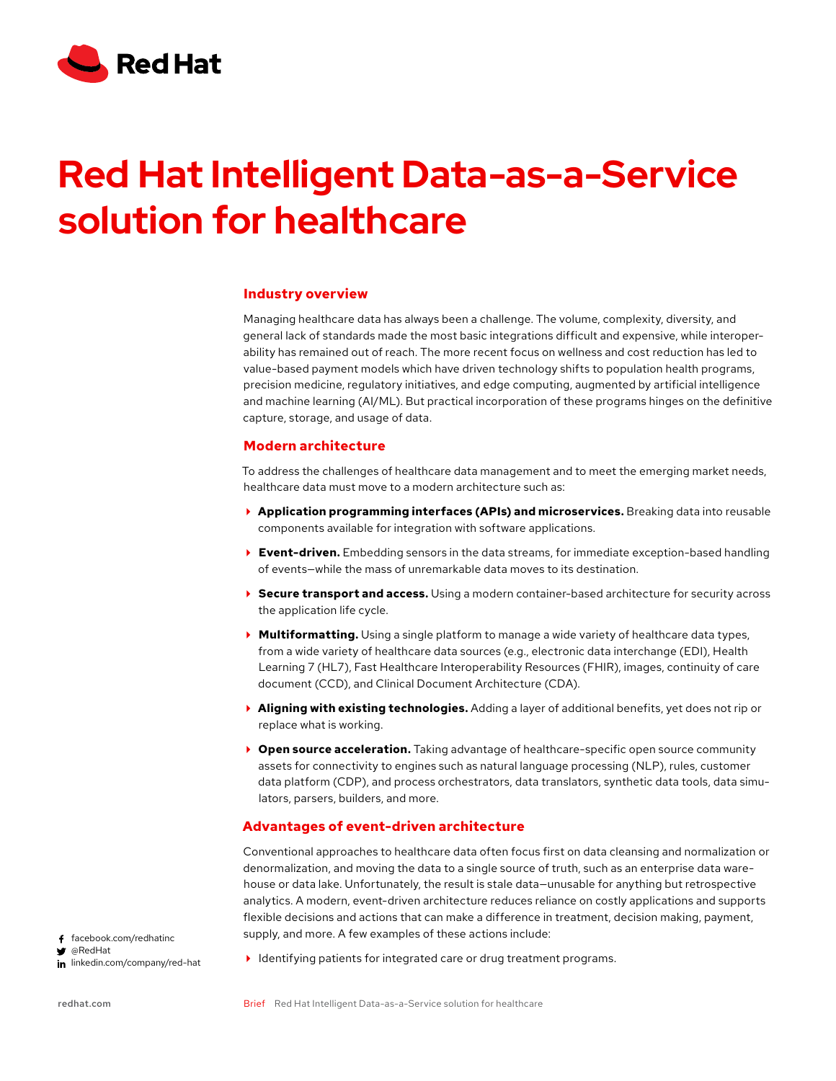

# **Red Hat Intelligent Data-as-a-Service**  $\mathbf s$ olution for healthcare

#### **Industry overview**

Managing healthcare data has always been a challenge. The volume, complexity, diversity, and general lack of standards made the most basic integrations difficult and expensive, while interoperability has remained out of reach. The more recent focus on wellness and cost reduction has led to value-based payment models which have driven technology shifts to population health programs, precision medicine, regulatory initiatives, and edge computing, augmented by artificial intelligence and machine learning (AI/ML). But practical incorporation of these programs hinges on the definitive capture, storage, and usage of data.

### **Modern architecture**

To address the challenges of healthcare data management and to meet the emerging market needs, healthcare data must move to a modern architecture such as:

- **Application programming interfaces (APIs) and microservices.** Breaking data into reusable components available for integration with software applications.
- **Event-driven.** Embedding sensors in the data streams, for immediate exception-based handling of events—while the mass of unremarkable data moves to its destination.
- **Secure transport and access.** Using a modern container-based architecture for security across the application life cycle.
- **Multiformatting.** Using a single platform to manage a wide variety of healthcare data types, from a wide variety of healthcare data sources (e.g., electronic data interchange (EDI), Health Learning 7 (HL7), Fast Healthcare Interoperability Resources (FHIR), images, continuity of care document (CCD), and Clinical Document Architecture (CDA).
- **Aligning with existing technologies.** Adding a layer of additional benefits, yet does not rip or replace what is working.
- **Open source acceleration.** Taking advantage of healthcare-specific open source community assets for connectivity to engines such as natural language processing (NLP), rules, customer data platform (CDP), and process orchestrators, data translators, synthetic data tools, data simulators, parsers, builders, and more.

# **Advantages of event-driven architecture**

Conventional approaches to healthcare data often focus first on data cleansing and normalization or denormalization, and moving the data to a single source of truth, such as an enterprise data warehouse or data lake. Unfortunately, the result is stale data—unusable for anything but retrospective analytics. A modern, event-driven architecture reduces reliance on costly applications and supports flexible decisions and actions that can make a difference in treatment, decision making, payment, supply, and more. A few examples of these actions include:

- facebook.com/redhatinc @RedHat in linkedin.com/company/red-hat
- I dentifying patients for integrated care or drug treatment programs.